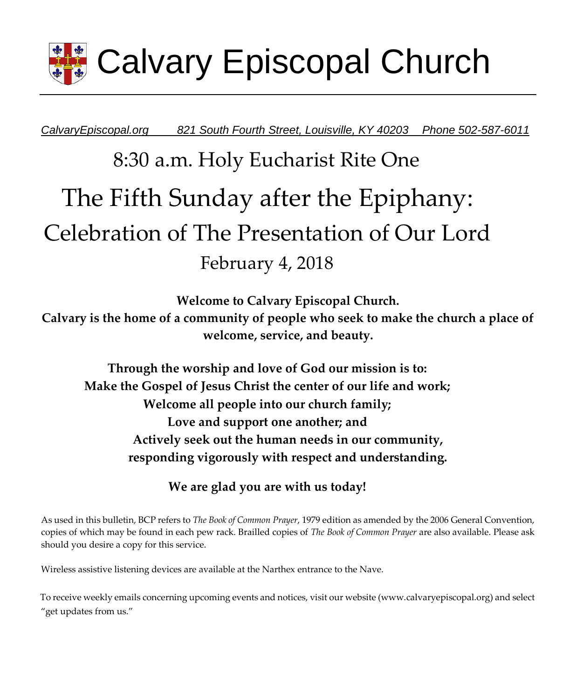

*CalvaryEpiscopal.org 821 South Fourth Street, Louisville, KY 40203 Phone 502-587-6011* 

# 8:30 a.m. Holy Eucharist Rite One The Fifth Sunday after the Epiphany: Celebration of The Presentation of Our Lord February 4, 2018

**Welcome to Calvary Episcopal Church. Calvary is the home of a community of people who seek to make the church a place of welcome, service, and beauty.** 

**Through the worship and love of God our mission is to: Make the Gospel of Jesus Christ the center of our life and work; Welcome all people into our church family; Love and support one another; and Actively seek out the human needs in our community, responding vigorously with respect and understanding.**

**We are glad you are with us today!** 

As used in this bulletin, BCP refers to *The Book of Common Prayer*, 1979 edition as amended by the 2006 General Convention, copies of which may be found in each pew rack. Brailled copies of *The Book of Common Prayer* are also available. Please ask should you desire a copy for this service.

Wireless assistive listening devices are available at the Narthex entrance to the Nave.

To receive weekly emails concerning upcoming events and notices, visit our website (www.calvaryepiscopal.org) and select "get updates from us."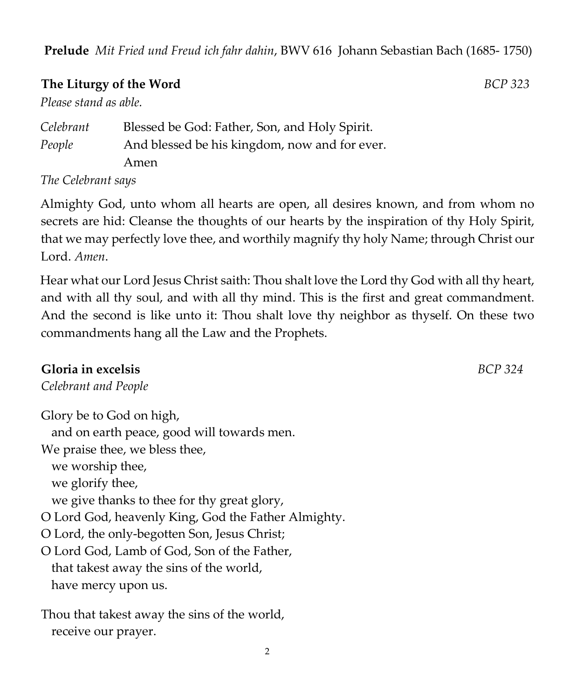**Prelude** *Mit Fried und Freud ich fahr dahin*, BWV 616 Johann Sebastian Bach (1685- 1750)

### **The Liturgy of the Word** *BCP 323*

*Please stand as able.* 

| Celebrant                                                        | Blessed be God: Father, Son, and Holy Spirit. |
|------------------------------------------------------------------|-----------------------------------------------|
| People                                                           | And blessed be his kingdom, now and for ever. |
|                                                                  | Amen                                          |
| $\mathbf{T}$ $\mathbf{C}$ $\mathbf{C}$ $\mathbf{D}$ $\mathbf{D}$ |                                               |

*The Celebrant says* 

Almighty God, unto whom all hearts are open, all desires known, and from whom no secrets are hid: Cleanse the thoughts of our hearts by the inspiration of thy Holy Spirit, that we may perfectly love thee, and worthily magnify thy holy Name; through Christ our Lord. *Amen*.

Hear what our Lord Jesus Christ saith: Thou shalt love the Lord thy God with all thy heart, and with all thy soul, and with all thy mind. This is the first and great commandment. And the second is like unto it: Thou shalt love thy neighbor as thyself. On these two commandments hang all the Law and the Prophets.

### **Gloria in excelsis** *BCP 324*

*Celebrant and People*

Glory be to God on high, and on earth peace, good will towards men. We praise thee, we bless thee, we worship thee, we glorify thee, we give thanks to thee for thy great glory, O Lord God, heavenly King, God the Father Almighty. O Lord, the only-begotten Son, Jesus Christ; O Lord God, Lamb of God, Son of the Father, that takest away the sins of the world, have mercy upon us.

Thou that takest away the sins of the world, receive our prayer.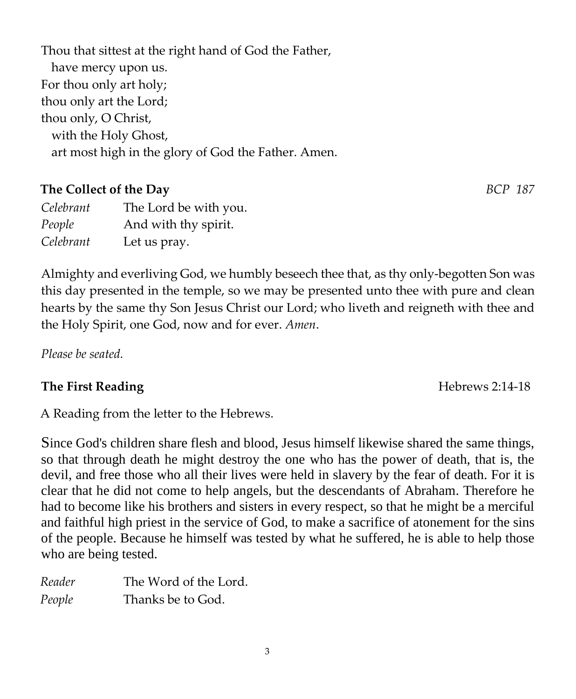3

Thou that sittest at the right hand of God the Father, have mercy upon us. For thou only art holy; thou only art the Lord; thou only, O Christ, with the Holy Ghost,

art most high in the glory of God the Father. Amen.

**The Collect of the Day** *BCP 187*

| Celebrant | The Lord be with you. |
|-----------|-----------------------|
| People    | And with thy spirit.  |
| Celebrant | Let us pray.          |

Almighty and everliving God, we humbly beseech thee that, as thy only-begotten Son was this day presented in the temple, so we may be presented unto thee with pure and clean hearts by the same thy Son Jesus Christ our Lord; who liveth and reigneth with thee and the Holy Spirit, one God, now and for ever. *Amen*.

*Please be seated.* 

# **The First Reading The First Reading The First Reading The First Reading The First Reading The First Reading The Intervention of the Intervention Intervention Intervention Intervention Intervention Intervention Interventio**

A Reading from the letter to the Hebrews.

Since God's children share flesh and blood, Jesus himself likewise shared the same things, so that through death he might destroy the one who has the power of death, that is, the devil, and free those who all their lives were held in slavery by the fear of death. For it is clear that he did not come to help angels, but the descendants of Abraham. Therefore he had to become like his brothers and sisters in every respect, so that he might be a merciful and faithful high priest in the service of God, to make a sacrifice of atonement for the sins of the people. Because he himself was tested by what he suffered, he is able to help those who are being tested.

| Reader | The Word of the Lord. |
|--------|-----------------------|
| People | Thanks be to God.     |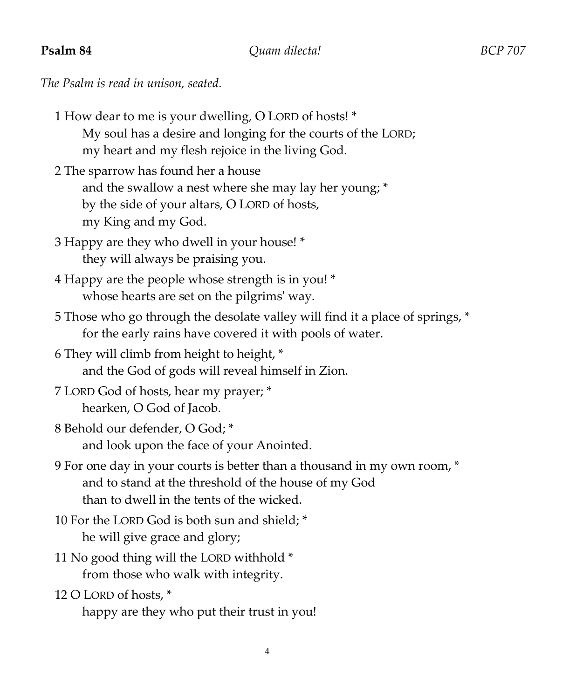**Psalm 84** *Quam dilecta! BCP 707*

*The Psalm is read in unison, seated.* 

| 1 How dear to me is your dwelling, O LORD of hosts! *        |
|--------------------------------------------------------------|
| My soul has a desire and longing for the courts of the LORD; |
| my heart and my flesh rejoice in the living God.             |
| 2 The sparrow has found her a house                          |

and the swallow a nest where she may lay her young; \* by the side of your altars, O LORD of hosts, my King and my God.

- 3 Happy are they who dwell in your house! \* they will always be praising you.
- 4 Happy are the people whose strength is in you! \* whose hearts are set on the pilgrims' way.
- 5 Those who go through the desolate valley will find it a place of springs, \* for the early rains have covered it with pools of water.
- 6 They will climb from height to height, \* and the God of gods will reveal himself in Zion.
- 7 LORD God of hosts, hear my prayer; \* hearken, O God of Jacob.
- 8 Behold our defender, O God; \* and look upon the face of your Anointed.
- 9 For one day in your courts is better than a thousand in my own room, \* and to stand at the threshold of the house of my God than to dwell in the tents of the wicked.
- 10 For the LORD God is both sun and shield; \* he will give grace and glory;
- 11 No good thing will the LORD withhold \* from those who walk with integrity.
- 12 O LORD of hosts, \*

happy are they who put their trust in you!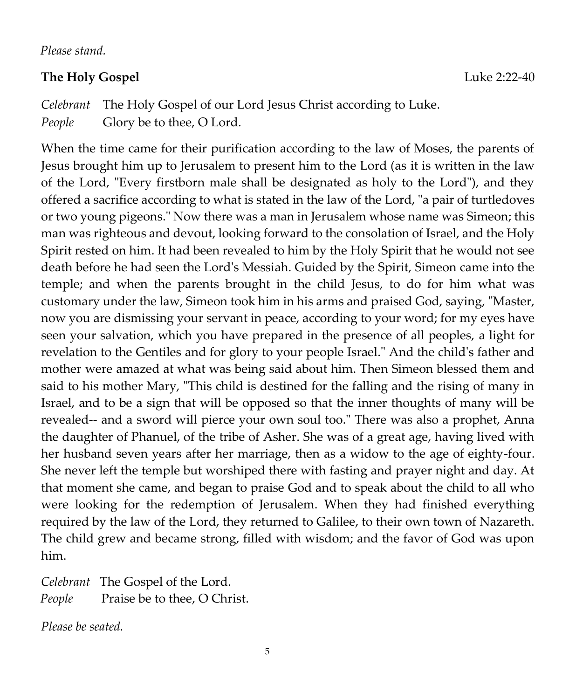*Please stand.* 

### **The Holy Gospel** Luke 2:22-40

*Celebrant* The Holy Gospel of our Lord Jesus Christ according to Luke. *People* Glory be to thee, O Lord.

When the time came for their purification according to the law of Moses, the parents of Jesus brought him up to Jerusalem to present him to the Lord (as it is written in the law of the Lord, "Every firstborn male shall be designated as holy to the Lord"), and they offered a sacrifice according to what is stated in the law of the Lord, "a pair of turtledoves or two young pigeons." Now there was a man in Jerusalem whose name was Simeon; this man was righteous and devout, looking forward to the consolation of Israel, and the Holy Spirit rested on him. It had been revealed to him by the Holy Spirit that he would not see death before he had seen the Lord's Messiah. Guided by the Spirit, Simeon came into the temple; and when the parents brought in the child Jesus, to do for him what was customary under the law, Simeon took him in his arms and praised God, saying, "Master, now you are dismissing your servant in peace, according to your word; for my eyes have seen your salvation, which you have prepared in the presence of all peoples, a light for revelation to the Gentiles and for glory to your people Israel." And the child's father and mother were amazed at what was being said about him. Then Simeon blessed them and said to his mother Mary, "This child is destined for the falling and the rising of many in Israel, and to be a sign that will be opposed so that the inner thoughts of many will be revealed-- and a sword will pierce your own soul too." There was also a prophet, Anna the daughter of Phanuel, of the tribe of Asher. She was of a great age, having lived with her husband seven years after her marriage, then as a widow to the age of eighty-four. She never left the temple but worshiped there with fasting and prayer night and day. At that moment she came, and began to praise God and to speak about the child to all who were looking for the redemption of Jerusalem. When they had finished everything required by the law of the Lord, they returned to Galilee, to their own town of Nazareth. The child grew and became strong, filled with wisdom; and the favor of God was upon him.

*Celebrant* The Gospel of the Lord. *People* Praise be to thee, O Christ.

*Please be seated.*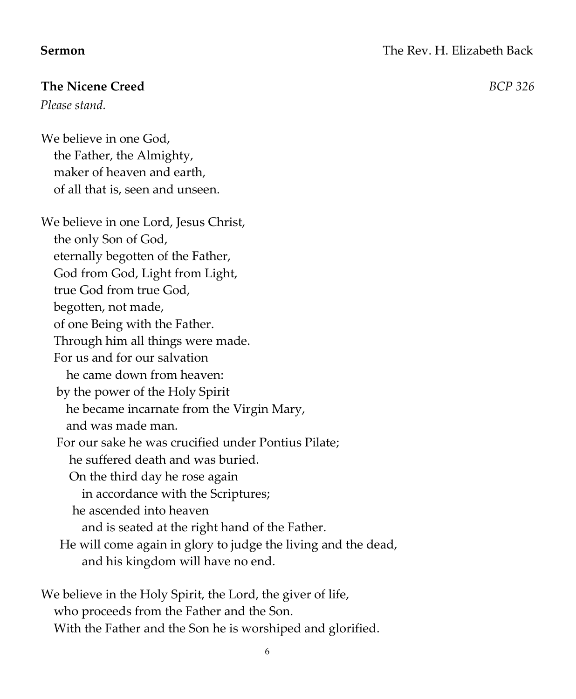### **The Nicene Creed** *BCP 326*

*Please stand.* 

We believe in one God, the Father, the Almighty, maker of heaven and earth, of all that is, seen and unseen.

We believe in one Lord, Jesus Christ, the only Son of God, eternally begotten of the Father, God from God, Light from Light, true God from true God, begotten, not made, of one Being with the Father. Through him all things were made. For us and for our salvation he came down from heaven: by the power of the Holy Spirit he became incarnate from the Virgin Mary, and was made man. For our sake he was crucified under Pontius Pilate; he suffered death and was buried. On the third day he rose again in accordance with the Scriptures; he ascended into heaven and is seated at the right hand of the Father. He will come again in glory to judge the living and the dead, and his kingdom will have no end.

We believe in the Holy Spirit, the Lord, the giver of life, who proceeds from the Father and the Son. With the Father and the Son he is worshiped and glorified.

6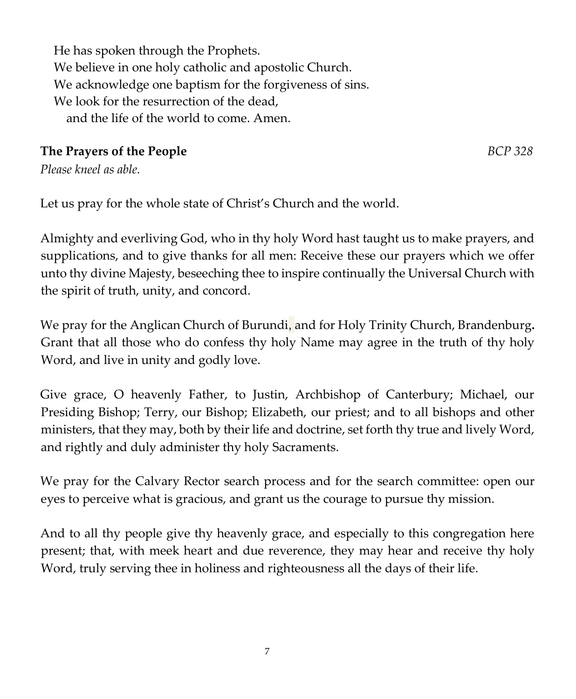He has spoken through the Prophets. We believe in one holy catholic and apostolic Church. We acknowledge one baptism for the forgiveness of sins. We look for the resurrection of the dead, and the life of the world to come. Amen.

# **The Prayers of the People** *BCP 328*

*Please kneel as able.* 

Let us pray for the whole state of Christ's Church and the world.

Almighty and everliving God, who in thy holy Word hast taught us to make prayers, and supplications, and to give thanks for all men: Receive these our prayers which we offer unto thy divine Majesty, beseeching thee to inspire continually the Universal Church with the spirit of truth, unity, and concord.

We pray for the Anglican Church of Burundi, and for Holy Trinity Church, Brandenburg**.**  Grant that all those who do confess thy holy Name may agree in the truth of thy holy Word, and live in unity and godly love.

Give grace, O heavenly Father, to Justin, Archbishop of Canterbury; Michael, our Presiding Bishop; Terry, our Bishop; Elizabeth, our priest; and to all bishops and other ministers, that they may, both by their life and doctrine, set forth thy true and lively Word, and rightly and duly administer thy holy Sacraments.

We pray for the Calvary Rector search process and for the search committee: open our eyes to perceive what is gracious, and grant us the courage to pursue thy mission.

And to all thy people give thy heavenly grace, and especially to this congregation here present; that, with meek heart and due reverence, they may hear and receive thy holy Word, truly serving thee in holiness and righteousness all the days of their life.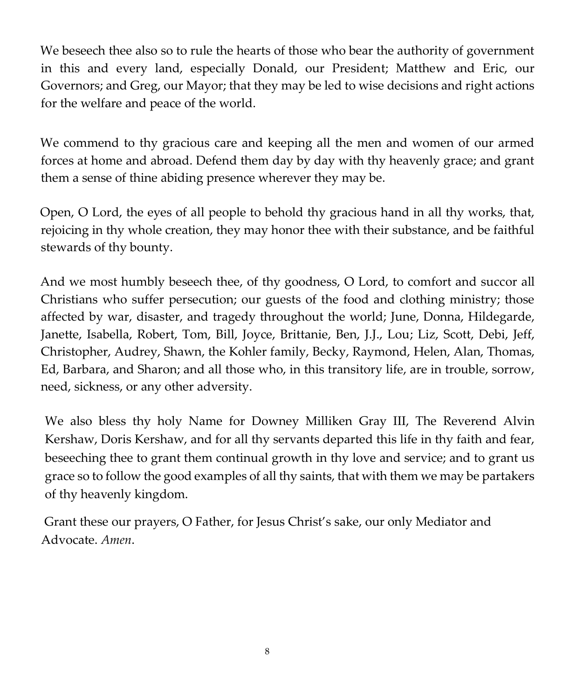We beseech thee also so to rule the hearts of those who bear the authority of government in this and every land, especially Donald, our President; Matthew and Eric, our Governors; and Greg, our Mayor; that they may be led to wise decisions and right actions for the welfare and peace of the world.

We commend to thy gracious care and keeping all the men and women of our armed forces at home and abroad. Defend them day by day with thy heavenly grace; and grant them a sense of thine abiding presence wherever they may be.

Open, O Lord, the eyes of all people to behold thy gracious hand in all thy works, that, rejoicing in thy whole creation, they may honor thee with their substance, and be faithful stewards of thy bounty.

And we most humbly beseech thee, of thy goodness, O Lord, to comfort and succor all Christians who suffer persecution; our guests of the food and clothing ministry; those affected by war, disaster, and tragedy throughout the world; June, Donna, Hildegarde, Janette, Isabella, Robert, Tom, Bill, Joyce, Brittanie, Ben, J.J., Lou; Liz, Scott, Debi, Jeff, Christopher, Audrey, Shawn, the Kohler family, Becky, Raymond, Helen, Alan, Thomas, Ed, Barbara, and Sharon; and all those who, in this transitory life, are in trouble, sorrow, need, sickness, or any other adversity.

We also bless thy holy Name for Downey Milliken Gray III, The Reverend Alvin Kershaw, Doris Kershaw, and for all thy servants departed this life in thy faith and fear, beseeching thee to grant them continual growth in thy love and service; and to grant us grace so to follow the good examples of all thy saints, that with them we may be partakers of thy heavenly kingdom.

Grant these our prayers, O Father, for Jesus Christ's sake, our only Mediator and Advocate. *Amen*.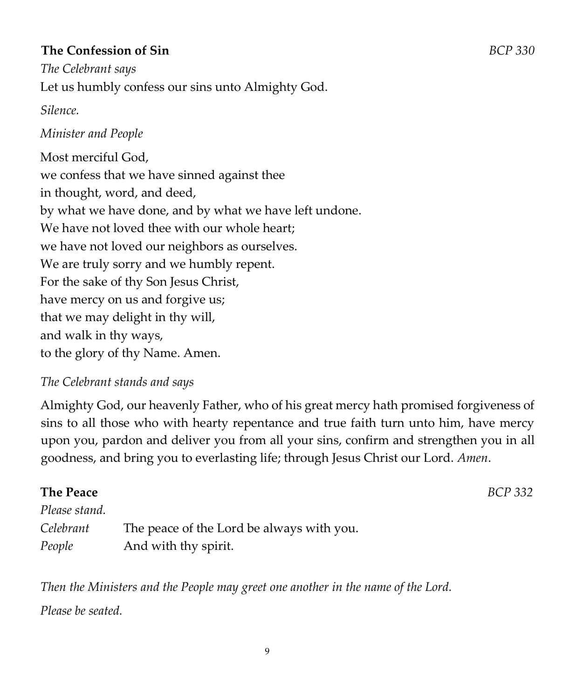### **The Confession of Sin** *BCP 330*

*The Celebrant says*  Let us humbly confess our sins unto Almighty God.

### *Silence.*

### *Minister and People*

Most merciful God, we confess that we have sinned against thee in thought, word, and deed, by what we have done, and by what we have left undone. We have not loved thee with our whole heart: we have not loved our neighbors as ourselves. We are truly sorry and we humbly repent. For the sake of thy Son Jesus Christ, have mercy on us and forgive us; that we may delight in thy will, and walk in thy ways, to the glory of thy Name. Amen.

### *The Celebrant stands and says*

Almighty God, our heavenly Father, who of his great mercy hath promised forgiveness of sins to all those who with hearty repentance and true faith turn unto him, have mercy upon you, pardon and deliver you from all your sins, confirm and strengthen you in all goodness, and bring you to everlasting life; through Jesus Christ our Lord. *Amen*.

# **The Peace** *BCP 332 Please stand. Celebrant* The peace of the Lord be always with you. *People* And with thy spirit.

*Then the Ministers and the People may greet one another in the name of the Lord. Please be seated.*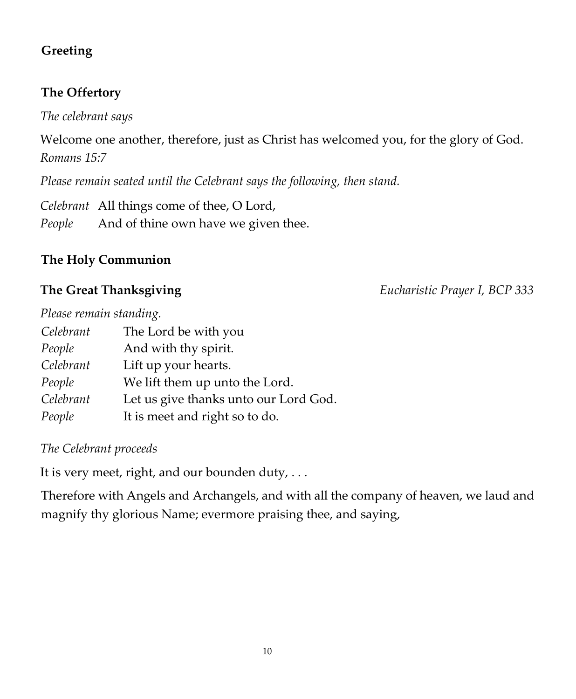# **Greeting**

### **The Offertory**

*The celebrant says* 

Welcome one another, therefore, just as Christ has welcomed you, for the glory of God. *Romans 15:7* 

*Please remain seated until the Celebrant says the following, then stand.* 

*Celebrant* All things come of thee, O Lord, *People* And of thine own have we given thee.

# **The Holy Communion**

**The Great Thanksgiving** *Eucharistic Prayer I, BCP 333*

| Please remain standing. |                                       |
|-------------------------|---------------------------------------|
| Celebrant               | The Lord be with you                  |
| People                  | And with thy spirit.                  |
| Celebrant               | Lift up your hearts.                  |
| People                  | We lift them up unto the Lord.        |
| Celebrant               | Let us give thanks unto our Lord God. |
| People                  | It is meet and right so to do.        |

*The Celebrant proceeds* 

It is very meet, right, and our bounden duty,  $\dots$ 

Therefore with Angels and Archangels, and with all the company of heaven, we laud and magnify thy glorious Name; evermore praising thee, and saying,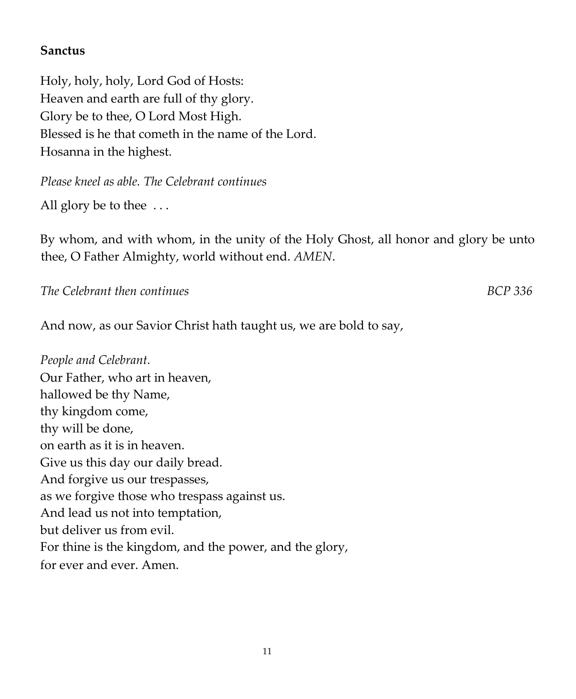### **Sanctus**

Holy, holy, holy, Lord God of Hosts: Heaven and earth are full of thy glory. Glory be to thee, O Lord Most High. Blessed is he that cometh in the name of the Lord. Hosanna in the highest.

*Please kneel as able. The Celebrant continues* 

All glory be to thee ...

By whom, and with whom, in the unity of the Holy Ghost, all honor and glory be unto thee, O Father Almighty, world without end. *AMEN*.

*The Celebrant then continues BCP 336* 

And now, as our Savior Christ hath taught us, we are bold to say,

*People and Celebrant.*  Our Father, who art in heaven, hallowed be thy Name, thy kingdom come, thy will be done, on earth as it is in heaven. Give us this day our daily bread. And forgive us our trespasses, as we forgive those who trespass against us. And lead us not into temptation, but deliver us from evil. For thine is the kingdom, and the power, and the glory, for ever and ever. Amen.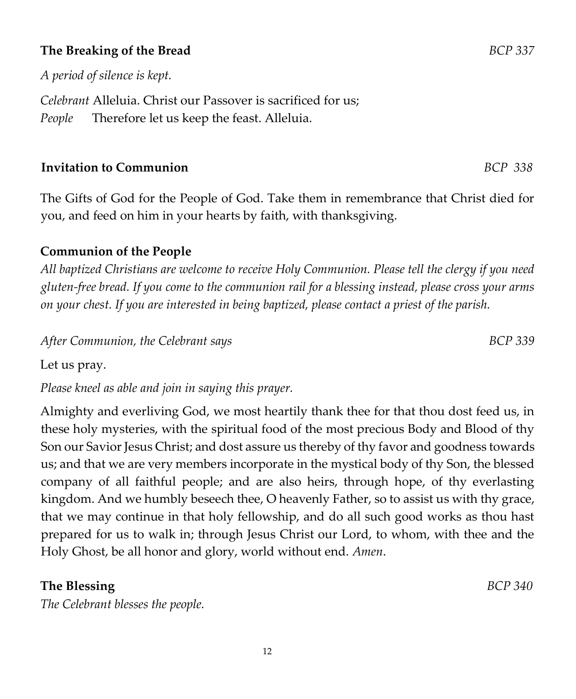### **The Breaking of the Bread** *BCP 337*

*A period of silence is kept.* 

*Celebrant* Alleluia. Christ our Passover is sacrificed for us; *People* Therefore let us keep the feast. Alleluia.

### **Invitation to Communion** *BCP 338*

The Gifts of God for the People of God. Take them in remembrance that Christ died for you, and feed on him in your hearts by faith, with thanksgiving.

### **Communion of the People**

*All baptized Christians are welcome to receive Holy Communion. Please tell the clergy if you need gluten-free bread. If you come to the communion rail for a blessing instead, please cross your arms on your chest. If you are interested in being baptized, please contact a priest of the parish.* 

After Communion, the Celebrant says **BCP** 339

Let us pray.

*Please kneel as able and join in saying this prayer.* 

Almighty and everliving God, we most heartily thank thee for that thou dost feed us, in these holy mysteries, with the spiritual food of the most precious Body and Blood of thy Son our Savior Jesus Christ; and dost assure us thereby of thy favor and goodness towards us; and that we are very members incorporate in the mystical body of thy Son, the blessed company of all faithful people; and are also heirs, through hope, of thy everlasting kingdom. And we humbly beseech thee, O heavenly Father, so to assist us with thy grace, that we may continue in that holy fellowship, and do all such good works as thou hast prepared for us to walk in; through Jesus Christ our Lord, to whom, with thee and the Holy Ghost, be all honor and glory, world without end. *Amen*.

### **The Blessing** *BCP 340*

*The Celebrant blesses the people.*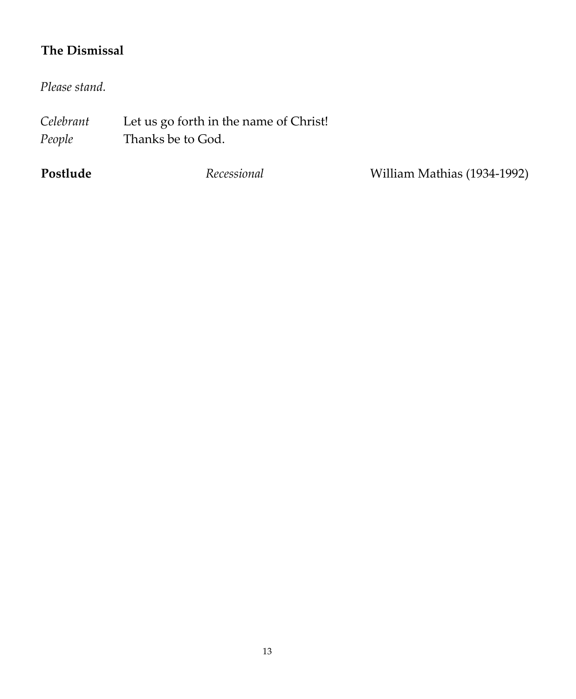# **The Dismissal**

*Please stand.* 

| Celebrant | Let us go forth in the name of Christ! |
|-----------|----------------------------------------|
| People    | Thanks be to God.                      |

**Postlude** *Recessional* William Mathias (1934-1992)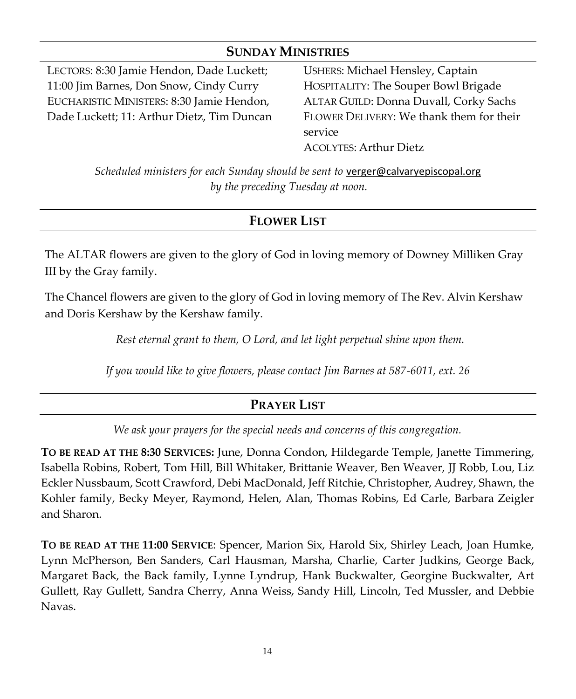### **SUNDAY MINISTRIES**

LECTORS: 8:30 Jamie Hendon, Dade Luckett; 11:00 Jim Barnes, Don Snow, Cindy Curry EUCHARISTIC MINISTERS: 8:30 Jamie Hendon, Dade Luckett; 11: Arthur Dietz, Tim Duncan USHERS: Michael Hensley, Captain HOSPITALITY: The Souper Bowl Brigade ALTAR GUILD: Donna Duvall, Corky Sachs FLOWER DELIVERY: We thank them for their service ACOLYTES: Arthur Dietz

*Scheduled ministers for each Sunday should be sent to [verger@calvaryepiscopal.org](mailto:verger@calvaryepiscopal.org) by the preceding Tuesday at noon.*

# **FLOWER LIST**

The ALTAR flowers are given to the glory of God in loving memory of Downey Milliken Gray III by the Gray family.

The Chancel flowers are given to the glory of God in loving memory of The Rev. Alvin Kershaw and Doris Kershaw by the Kershaw family.

*Rest eternal grant to them, O Lord, and let light perpetual shine upon them.*

*If you would like to give flowers, please contact Jim Barnes at 587-6011, ext. 26*

## **PRAYER LIST**

*We ask your prayers for the special needs and concerns of this congregation.*

**TO BE READ AT THE 8:30 SERVICES:** June, Donna Condon, Hildegarde Temple, Janette Timmering, Isabella Robins, Robert, Tom Hill, Bill Whitaker, Brittanie Weaver, Ben Weaver, JJ Robb, Lou, Liz Eckler Nussbaum, Scott Crawford, Debi MacDonald, Jeff Ritchie, Christopher, Audrey, Shawn, the Kohler family, Becky Meyer, Raymond, Helen, Alan, Thomas Robins, Ed Carle, Barbara Zeigler and Sharon.

**TO BE READ AT THE 11:00 SERVICE**: Spencer, Marion Six, Harold Six, Shirley Leach, Joan Humke, Lynn McPherson, Ben Sanders, Carl Hausman, Marsha, Charlie, Carter Judkins, George Back, Margaret Back, the Back family, Lynne Lyndrup, Hank Buckwalter, Georgine Buckwalter, Art Gullett, Ray Gullett, Sandra Cherry, Anna Weiss, Sandy Hill, Lincoln, Ted Mussler, and Debbie Navas.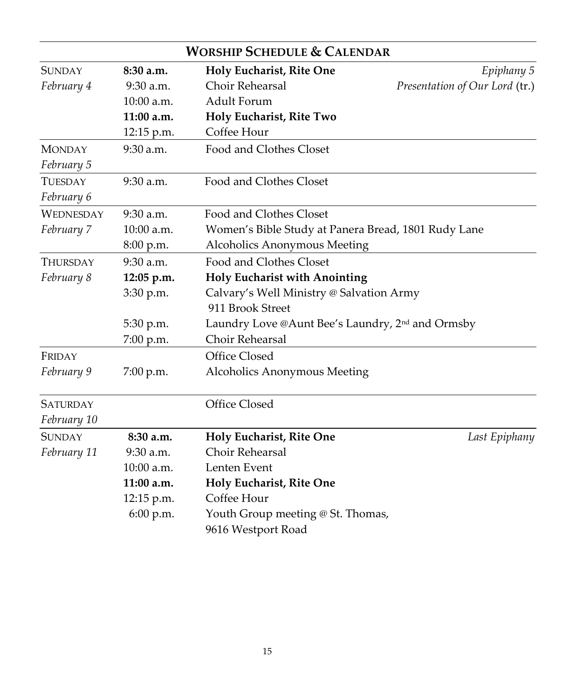|                  |              | <b>WORSHIP SCHEDULE &amp; CALENDAR</b>                                           |                                |  |
|------------------|--------------|----------------------------------------------------------------------------------|--------------------------------|--|
| <b>SUNDAY</b>    | 8:30a.m.     | Holy Eucharist, Rite One                                                         | Epiphany 5                     |  |
| February 4       | $9:30$ a.m.  | Choir Rehearsal                                                                  | Presentation of Our Lord (tr.) |  |
|                  | $10:00$ a.m. | <b>Adult Forum</b>                                                               |                                |  |
|                  | 11:00 a.m.   | Holy Eucharist, Rite Two                                                         |                                |  |
|                  | 12:15 p.m.   | Coffee Hour                                                                      |                                |  |
| <b>MONDAY</b>    | 9:30 a.m.    | Food and Clothes Closet                                                          |                                |  |
| February 5       |              |                                                                                  |                                |  |
| <b>TUESDAY</b>   | 9:30 a.m.    | Food and Clothes Closet                                                          |                                |  |
| February 6       |              |                                                                                  |                                |  |
| <b>WEDNESDAY</b> | $9:30$ a.m.  | Food and Clothes Closet                                                          |                                |  |
| February 7       | 10:00 a.m.   | Women's Bible Study at Panera Bread, 1801 Rudy Lane                              |                                |  |
|                  | 8:00 p.m.    | Alcoholics Anonymous Meeting                                                     |                                |  |
| Thursday         | 9:30 a.m.    | Food and Clothes Closet                                                          |                                |  |
| February 8       | 12:05 p.m.   | <b>Holy Eucharist with Anointing</b><br>Calvary's Well Ministry @ Salvation Army |                                |  |
|                  | 3:30 p.m.    |                                                                                  |                                |  |
|                  |              | 911 Brook Street                                                                 |                                |  |
|                  | 5:30 p.m.    | Laundry Love @Aunt Bee's Laundry, 2 <sup>nd</sup> and Ormsby                     |                                |  |
|                  | 7:00 p.m.    | Choir Rehearsal                                                                  |                                |  |
| FRIDAY           |              | Office Closed                                                                    |                                |  |
| February 9       | 7:00 p.m.    | Alcoholics Anonymous Meeting                                                     |                                |  |
| <b>SATURDAY</b>  |              | Office Closed                                                                    |                                |  |
| February 10      |              |                                                                                  |                                |  |
| <b>SUNDAY</b>    | 8:30 a.m.    | Holy Eucharist, Rite One                                                         | Last Epiphany                  |  |
| February 11      | $9:30$ a.m.  | Choir Rehearsal                                                                  |                                |  |
|                  | $10:00$ a.m. | Lenten Event                                                                     |                                |  |
|                  | $11:00$ a.m. | Holy Eucharist, Rite One                                                         |                                |  |
|                  | 12:15 p.m.   | Coffee Hour                                                                      |                                |  |
|                  | 6:00 p.m.    | Youth Group meeting @ St. Thomas,                                                |                                |  |
|                  |              | 9616 Westport Road                                                               |                                |  |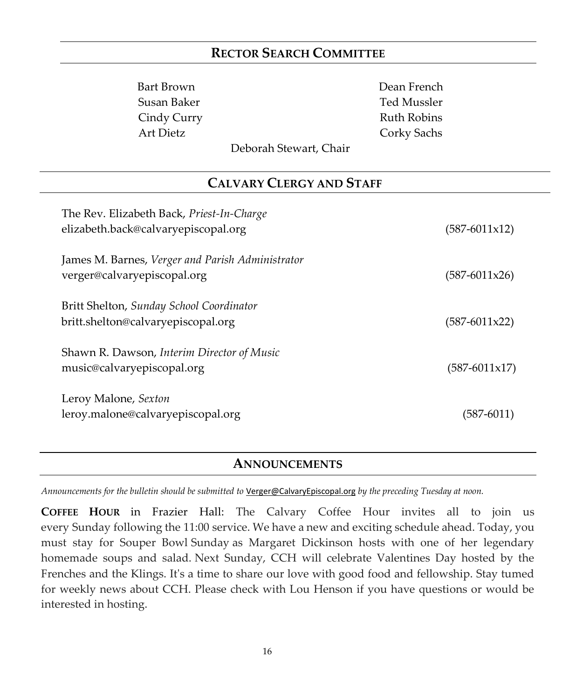### **RECTOR SEARCH COMMITTEE**

Bart Brown Dean French Cindy Curry **Ruth Robins** Art Dietz Corky Sachs

Susan Baker Ted Mussler

Deborah Stewart, Chair

### **CALVARY CLERGY AND STAFF**

| The Rev. Elizabeth Back, Priest-In-Charge<br>elizabeth.back@calvaryepiscopal.org | $(587-6011x12)$          |
|----------------------------------------------------------------------------------|--------------------------|
| James M. Barnes, Verger and Parish Administrator<br>verger@calvaryepiscopal.org  | $(587-6011x26)$          |
| Britt Shelton, Sunday School Coordinator<br>britt.shelton@calvaryepiscopal.org   | $(587-6011x22)$          |
| Shawn R. Dawson, Interim Director of Music<br>music@calvaryepiscopal.org         | $(587 - 6011 \times 17)$ |
| Leroy Malone, Sexton<br>leroy.malone@calvaryepiscopal.org                        | $(587 - 6011)$           |

### **ANNOUNCEMENTS**

*Announcements for the bulletin should be submitted to* [Verger@CalvaryEpiscopal.org](mailto:Verger@CalvaryEpiscopal.org) *by the preceding Tuesday at noon.* 

**COFFEE HOUR** in Frazier Hall: The Calvary Coffee Hour invites all to join us every Sunday following the 11:00 service. We have a new and exciting schedule ahead. Today, you must stay for Souper Bowl Sunday as Margaret Dickinson hosts with one of her legendary homemade soups and salad. Next Sunday, CCH will celebrate Valentines Day hosted by the Frenches and the Klings. It's a time to share our love with good food and fellowship. Stay tumed for weekly news about CCH. Please check with Lou Henson if you have questions or would be interested in hosting.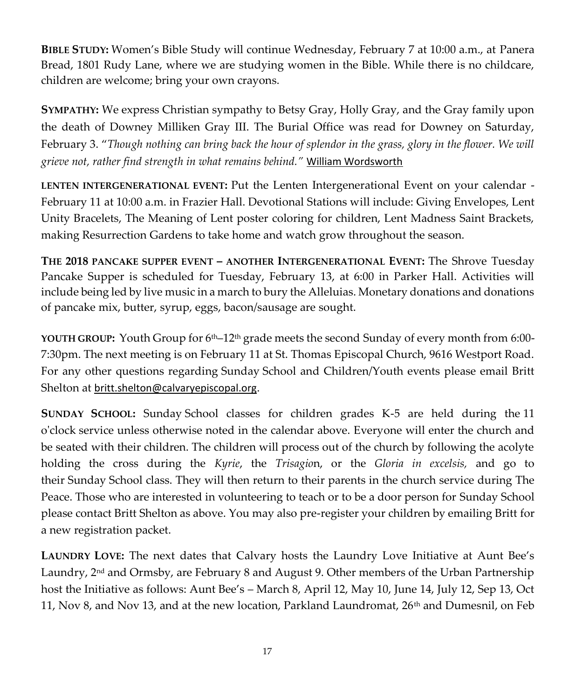**BIBLE STUDY:** Women's Bible Study will continue Wednesday, February 7 at 10:00 a.m., at Panera Bread, 1801 Rudy Lane, where we are studying women in the Bible. While there is no childcare, children are welcome; bring your own crayons.

**SYMPATHY:** We express Christian sympathy to Betsy Gray, Holly Gray, and the Gray family upon the death of Downey Milliken Gray III. The Burial Office was read for Downey on Saturday, February 3. "*Though nothing can bring back the hour of splendor in the grass, glory in the flower. We will grieve not, rather find strength in what remains behind."* [William Wordsworth](http://www.brainyquote.com/quotes/authors/w/william_wordsworth.html)

**LENTEN INTERGENERATIONAL EVENT:** Put the Lenten Intergenerational Event on your calendar - February 11 at 10:00 a.m. in Frazier Hall. Devotional Stations will include: Giving Envelopes, Lent Unity Bracelets, The Meaning of Lent poster coloring for children, Lent Madness Saint Brackets, making Resurrection Gardens to take home and watch grow throughout the season.

**THE 2018 PANCAKE SUPPER EVENT – ANOTHER INTERGENERATIONAL EVENT:** The Shrove Tuesday Pancake Supper is scheduled for Tuesday, February 13, at 6:00 in Parker Hall. Activities will include being led by live music in a march to bury the Alleluias. Monetary donations and donations of pancake mix, butter, syrup, eggs, bacon/sausage are sought.

**YOUTH GROUP:** Youth Group for 6th–12th grade meets the second Sunday of every month from 6:00- 7:30pm. The next meeting is on February 11 at St. Thomas Episcopal Church, 9616 Westport Road. For any other questions regarding Sunday School and Children/Youth events please email Britt Shelton at [britt.shelton@calvaryepiscopal.org](mailto:britt.shelton@calvaryepiscopal.org).

**SUNDAY SCHOOL:** Sunday School classes for children grades K-5 are held during the 11 o'clock service unless otherwise noted in the calendar above. Everyone will enter the church and be seated with their children. The children will process out of the church by following the acolyte holding the cross during the *Kyrie*, the *Trisagio*n, or the *Gloria in excelsis,* and go to their Sunday School class. They will then return to their parents in the church service during The Peace. Those who are interested in volunteering to teach or to be a door person for Sunday School please contact Britt Shelton as above. You may also pre-register your children by emailing Britt for a new registration packet.

**LAUNDRY LOVE:** The next dates that Calvary hosts the Laundry Love Initiative at Aunt Bee's Laundry, 2<sup>nd</sup> and Ormsby, are February 8 and August 9. Other members of the Urban Partnership host the Initiative as follows: Aunt Bee's – March 8, April 12, May 10, June 14, July 12, Sep 13, Oct 11, Nov 8, and Nov 13, and at the new location, Parkland Laundromat,  $26<sup>th</sup>$  and Dumesnil, on Feb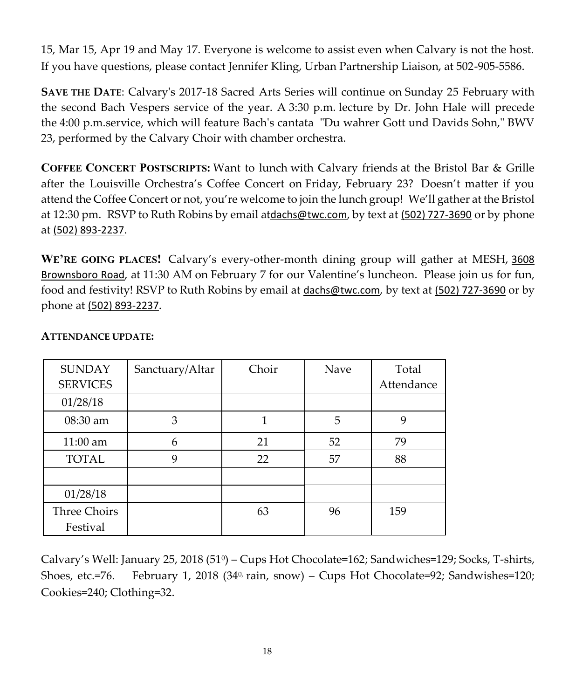15, Mar 15, Apr 19 and May 17. Everyone is welcome to assist even when Calvary is not the host. If you have questions, please contact Jennifer Kling, Urban Partnership Liaison, at 502-905-5586.

**SAVE THE DATE**: Calvary's 2017-18 Sacred Arts Series will continue on Sunday 25 February with the second Bach Vespers service of the year. A 3:30 p.m. lecture by Dr. John Hale will precede the 4:00 p.m.service, which will feature Bach's cantata "Du wahrer Gott und Davids Sohn," BWV 23, performed by the Calvary Choir with chamber orchestra.

**COFFEE CONCERT POSTSCRIPTS:** Want to lunch with Calvary friends at the Bristol Bar & Grille after the Louisville Orchestra's Coffee Concert on Friday, February 23? Doesn't matter if you attend the Coffee Concert or not, you're welcome to join the lunch group! We'll gather at the Bristol at 12:30 pm. RSVP to Ruth Robins by email at[dachs@twc.com](mailto:dachs@twc.com), by text at [\(502\) 727-3690](tel:(502)%20727-3690) or by phone at [\(502\) 893-2237](tel:(502)%20893-2237).

**WE'RE GOING PLACES!** Calvary's every-other-month dining group will gather at MESH, [3608](https://maps.google.com/?q=3608+Brownsboro+Road&entry=gmail&source=g)  [Brownsboro Road](https://maps.google.com/?q=3608+Brownsboro+Road&entry=gmail&source=g), at 11:30 AM on February 7 for our Valentine's luncheon. Please join us for fun, food and festivity! RSVP to Ruth Robins by email at [dachs@twc.com](mailto:dachs@twc.com), by text at [\(502\) 727-3690](tel:(502)%20727-3690) or by phone at [\(502\) 893-2237](tel:(502)%20893-2237).

| <b>SUNDAY</b>   | Sanctuary/Altar | Choir | Nave | Total      |
|-----------------|-----------------|-------|------|------------|
| <b>SERVICES</b> |                 |       |      | Attendance |
| 01/28/18        |                 |       |      |            |
| 08:30 am        | 3               |       | 5    | 9          |
| $11:00$ am      | 6               | 21    | 52   | 79         |
| <b>TOTAL</b>    | 9               | 22    | 57   | 88         |
|                 |                 |       |      |            |
| 01/28/18        |                 |       |      |            |
| Three Choirs    |                 | 63    | 96   | 159        |
| Festival        |                 |       |      |            |

### **ATTENDANCE UPDATE:**

Calvary's Well: January 25, 2018 (51<sup>0</sup> ) – Cups Hot Chocolate=162; Sandwiches=129; Socks, T-shirts, Shoes, etc.=76. February 1, 2018 (34<sup>0,</sup> rain, snow) – Cups Hot Chocolate=92; Sandwishes=120; Cookies=240; Clothing=32.